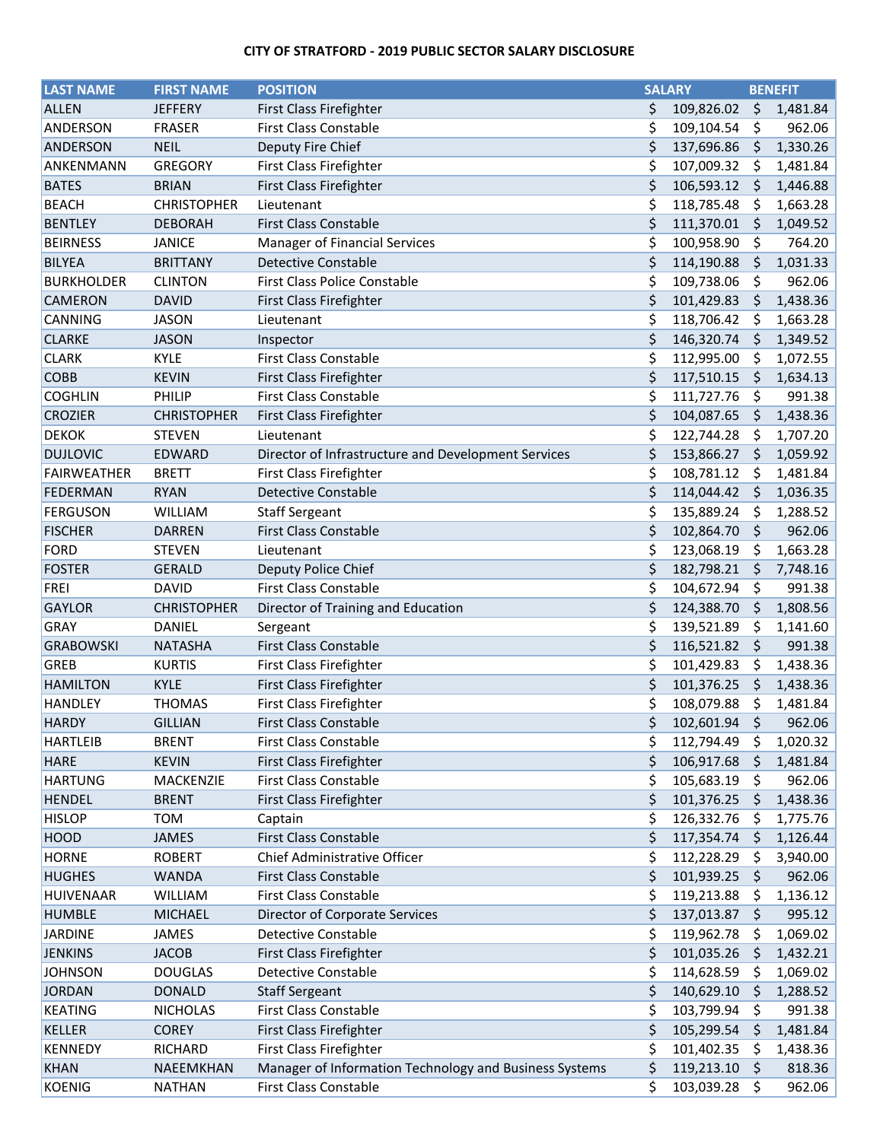## **CITY OF STRATFORD - 2019 PUBLIC SECTOR SALARY DISCLOSURE**

| <b>LAST NAME</b>   | <b>FIRST NAME</b>       | <b>POSITION</b>                                              | <b>SALARY</b> |            | <b>BENEFIT</b> |          |
|--------------------|-------------------------|--------------------------------------------------------------|---------------|------------|----------------|----------|
| <b>ALLEN</b>       | <b>JEFFERY</b>          | First Class Firefighter                                      | \$            | 109,826.02 | \$             | 1,481.84 |
| <b>ANDERSON</b>    | <b>FRASER</b>           | <b>First Class Constable</b>                                 | \$            | 109,104.54 | \$             | 962.06   |
| ANDERSON           | <b>NEIL</b>             | Deputy Fire Chief                                            | \$            | 137,696.86 | \$             | 1,330.26 |
| ANKENMANN          | <b>GREGORY</b>          | First Class Firefighter                                      | \$            | 107,009.32 | \$             | 1,481.84 |
| <b>BATES</b>       | <b>BRIAN</b>            | First Class Firefighter                                      | \$            | 106,593.12 | S              | 1,446.88 |
| <b>BEACH</b>       | <b>CHRISTOPHER</b>      | Lieutenant                                                   | \$            | 118,785.48 | \$             | 1,663.28 |
| <b>BENTLEY</b>     | <b>DEBORAH</b>          | <b>First Class Constable</b>                                 | \$            | 111,370.01 | \$             | 1,049.52 |
| <b>BEIRNESS</b>    | <b>JANICE</b>           | Manager of Financial Services                                | \$            | 100,958.90 | \$             | 764.20   |
| <b>BILYEA</b>      | <b>BRITTANY</b>         | <b>Detective Constable</b>                                   | \$            | 114,190.88 | \$             | 1,031.33 |
| <b>BURKHOLDER</b>  | <b>CLINTON</b>          | <b>First Class Police Constable</b>                          | \$            | 109,738.06 | \$             | 962.06   |
| <b>CAMERON</b>     | <b>DAVID</b>            | First Class Firefighter                                      | \$            | 101,429.83 | \$             | 1,438.36 |
| CANNING            | <b>JASON</b>            | Lieutenant                                                   | \$            | 118,706.42 | \$             | 1,663.28 |
| <b>CLARKE</b>      | <b>JASON</b>            | Inspector                                                    | \$            | 146,320.74 | \$             | 1,349.52 |
| <b>CLARK</b>       | <b>KYLE</b>             | <b>First Class Constable</b>                                 | \$            | 112,995.00 | S              | 1,072.55 |
| <b>COBB</b>        | <b>KEVIN</b>            | First Class Firefighter                                      | \$            | 117,510.15 | \$             | 1,634.13 |
| <b>COGHLIN</b>     | PHILIP                  | <b>First Class Constable</b>                                 | \$            | 111,727.76 | \$             | 991.38   |
| <b>CROZIER</b>     | <b>CHRISTOPHER</b>      | First Class Firefighter                                      | \$            | 104,087.65 | \$             | 1,438.36 |
| <b>DEKOK</b>       | <b>STEVEN</b>           | Lieutenant                                                   | \$            | 122,744.28 | S              | 1,707.20 |
| <b>DUJLOVIC</b>    | <b>EDWARD</b>           | Director of Infrastructure and Development Services          | \$            | 153,866.27 | \$             | 1,059.92 |
| <b>FAIRWEATHER</b> | <b>BRETT</b>            | First Class Firefighter                                      | \$            | 108,781.12 | Ş              | 1,481.84 |
| <b>FEDERMAN</b>    | <b>RYAN</b>             | <b>Detective Constable</b>                                   | \$            | 114,044.42 | \$.            | 1,036.35 |
| <b>FERGUSON</b>    | <b>WILLIAM</b>          | <b>Staff Sergeant</b>                                        | \$            | 135,889.24 | Ş              | 1,288.52 |
| <b>FISCHER</b>     | <b>DARREN</b>           | <b>First Class Constable</b>                                 | \$            | 102,864.70 | \$             | 962.06   |
| <b>FORD</b>        | <b>STEVEN</b>           | Lieutenant                                                   | \$            | 123,068.19 | \$             | 1,663.28 |
| <b>FOSTER</b>      | <b>GERALD</b>           | Deputy Police Chief                                          | \$            | 182,798.21 | \$             | 7,748.16 |
| <b>FREI</b>        | <b>DAVID</b>            | <b>First Class Constable</b>                                 | \$            | 104,672.94 | \$             | 991.38   |
| <b>GAYLOR</b>      | <b>CHRISTOPHER</b>      | Director of Training and Education                           | \$            | 124,388.70 | \$             | 1,808.56 |
| GRAY               | DANIEL                  | Sergeant                                                     | \$            | 139,521.89 | \$             | 1,141.60 |
| <b>GRABOWSKI</b>   | <b>NATASHA</b>          | <b>First Class Constable</b>                                 | \$            | 116,521.82 | \$             | 991.38   |
| <b>GREB</b>        | <b>KURTIS</b>           | First Class Firefighter                                      | \$            | 101,429.83 | Ş              | 1,438.36 |
| <b>HAMILTON</b>    | <b>KYLE</b>             | First Class Firefighter                                      | \$            | 101,376.25 | \$             | 1,438.36 |
| <b>HANDLEY</b>     | <b>THOMAS</b>           | <b>First Class Firefighter</b>                               | \$            | 108,079.88 | \$             | 1,481.84 |
| <b>HARDY</b>       | <b>GILLIAN</b>          | <b>First Class Constable</b>                                 | \$            | 102,601.94 | \$             | 962.06   |
| <b>HARTLEIB</b>    | <b>BRENT</b>            | First Class Constable                                        | \$            | 112,794.49 | S              | 1,020.32 |
| <b>HARE</b>        | <b>KEVIN</b>            | First Class Firefighter                                      | \$            | 106,917.68 | S              | 1,481.84 |
| <b>HARTUNG</b>     | MACKENZIE               | First Class Constable                                        | \$            | 105,683.19 | \$.            | 962.06   |
| <b>HENDEL</b>      | <b>BRENT</b>            | First Class Firefighter                                      | \$            | 101,376.25 | \$             | 1,438.36 |
| <b>HISLOP</b>      | <b>TOM</b>              | Captain                                                      | \$            | 126,332.76 | Ş              | 1,775.76 |
| <b>HOOD</b>        | <b>JAMES</b>            | First Class Constable                                        | \$            | 117,354.74 | S              | 1,126.44 |
| <b>HORNE</b>       | <b>ROBERT</b>           | Chief Administrative Officer                                 | \$            | 112,228.29 | S              | 3,940.00 |
| <b>HUGHES</b>      |                         | <b>First Class Constable</b>                                 | \$            | 101,939.25 | S              | 962.06   |
| <b>HUIVENAAR</b>   | <b>WANDA</b><br>WILLIAM | First Class Constable                                        | \$            | 119,213.88 |                |          |
|                    |                         |                                                              | \$            |            | \$             | 1,136.12 |
| <b>HUMBLE</b>      | <b>MICHAEL</b>          | <b>Director of Corporate Services</b><br>Detective Constable |               | 137,013.87 | \$             | 995.12   |
| <b>JARDINE</b>     | JAMES                   |                                                              | \$            | 119,962.78 | Ş              | 1,069.02 |
| <b>JENKINS</b>     | <b>JACOB</b>            | First Class Firefighter                                      | \$            | 101,035.26 | S              | 1,432.21 |
| <b>JOHNSON</b>     | <b>DOUGLAS</b>          | <b>Detective Constable</b>                                   | \$            | 114,628.59 | S              | 1,069.02 |
| <b>JORDAN</b>      | <b>DONALD</b>           | <b>Staff Sergeant</b>                                        | \$            | 140,629.10 | S              | 1,288.52 |
| <b>KEATING</b>     | <b>NICHOLAS</b>         | First Class Constable                                        | \$            | 103,799.94 | S              | 991.38   |
| KELLER             | <b>COREY</b>            | First Class Firefighter                                      | \$            | 105,299.54 | S              | 1,481.84 |
| KENNEDY            | <b>RICHARD</b>          | First Class Firefighter                                      | \$            | 101,402.35 | S              | 1,438.36 |
| <b>KHAN</b>        | NAEEMKHAN               | Manager of Information Technology and Business Systems       | \$            | 119,213.10 | \$             | 818.36   |
| <b>KOENIG</b>      | <b>NATHAN</b>           | First Class Constable                                        | Ś             | 103,039.28 | - \$           | 962.06   |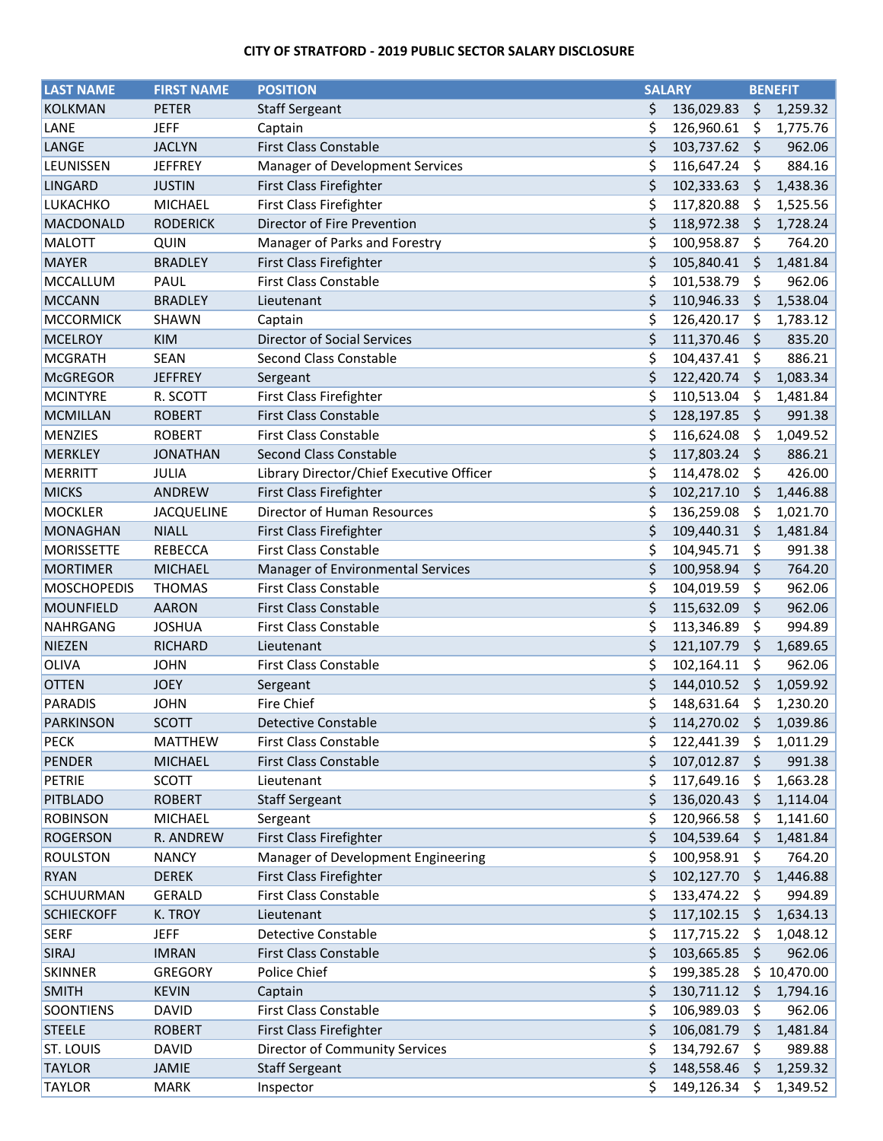## **CITY OF STRATFORD - 2019 PUBLIC SECTOR SALARY DISCLOSURE**

| <b>LAST NAME</b>   | <b>FIRST NAME</b> | <b>POSITION</b>                          |          | <b>SALARY</b> |         | <b>BENEFIT</b>     |  |
|--------------------|-------------------|------------------------------------------|----------|---------------|---------|--------------------|--|
| <b>KOLKMAN</b>     | <b>PETER</b>      | <b>Staff Sergeant</b>                    | \$       | 136,029.83    | \$      | 1,259.32           |  |
| LANE               | <b>JEFF</b>       | Captain                                  | \$       | 126,960.61    | Ş       | 1,775.76           |  |
| LANGE              | <b>JACLYN</b>     | <b>First Class Constable</b>             | \$       | 103,737.62    | \$      | 962.06             |  |
| LEUNISSEN          | <b>JEFFREY</b>    | Manager of Development Services          | \$       | 116,647.24    | \$      | 884.16             |  |
| <b>LINGARD</b>     | <b>JUSTIN</b>     | First Class Firefighter                  | \$       | 102,333.63    | \$.     | 1,438.36           |  |
| LUKACHKO           | <b>MICHAEL</b>    | First Class Firefighter                  | \$       | 117,820.88    | \$      | 1,525.56           |  |
| MACDONALD          | <b>RODERICK</b>   | Director of Fire Prevention              | \$       | 118,972.38    | \$      | 1,728.24           |  |
| <b>MALOTT</b>      | QUIN              | Manager of Parks and Forestry            | \$       | 100,958.87    | \$      | 764.20             |  |
| <b>MAYER</b>       | <b>BRADLEY</b>    | First Class Firefighter                  | \$       | 105,840.41    | \$      | 1,481.84           |  |
| MCCALLUM           | PAUL              | <b>First Class Constable</b>             | \$       | 101,538.79    | \$      | 962.06             |  |
| <b>MCCANN</b>      | <b>BRADLEY</b>    | Lieutenant                               | \$       | 110,946.33    | \$      | 1,538.04           |  |
| <b>MCCORMICK</b>   | <b>SHAWN</b>      | Captain                                  | \$       | 126,420.17    | \$      | 1,783.12           |  |
| <b>MCELROY</b>     | <b>KIM</b>        | <b>Director of Social Services</b>       | \$       | 111,370.46    | \$      | 835.20             |  |
| <b>MCGRATH</b>     | <b>SEAN</b>       | Second Class Constable                   | \$       | 104,437.41    | \$      | 886.21             |  |
| <b>McGREGOR</b>    | <b>JEFFREY</b>    | Sergeant                                 | \$       | 122,420.74    | \$      | 1,083.34           |  |
| <b>MCINTYRE</b>    | R. SCOTT          | First Class Firefighter                  | \$       |               |         |                    |  |
|                    |                   | <b>First Class Constable</b>             | \$       | 110,513.04    | Ş<br>\$ | 1,481.84<br>991.38 |  |
| <b>MCMILLAN</b>    | <b>ROBERT</b>     | First Class Constable                    |          | 128,197.85    |         |                    |  |
| <b>MENZIES</b>     | <b>ROBERT</b>     | <b>Second Class Constable</b>            | \$<br>\$ | 116,624.08    | \$      | 1,049.52           |  |
| <b>MERKLEY</b>     | <b>JONATHAN</b>   |                                          |          | 117,803.24    | \$      | 886.21             |  |
| <b>MERRITT</b>     | JULIA             | Library Director/Chief Executive Officer | \$       | 114,478.02    | \$      | 426.00             |  |
| <b>MICKS</b>       | ANDREW            | First Class Firefighter                  | \$       | 102,217.10    | \$      | 1,446.88           |  |
| <b>MOCKLER</b>     | <b>JACQUELINE</b> | Director of Human Resources              | \$       | 136,259.08    | S       | 1,021.70           |  |
| <b>MONAGHAN</b>    | <b>NIALL</b>      | First Class Firefighter                  | \$       | 109,440.31    | \$      | 1,481.84           |  |
| <b>MORISSETTE</b>  | <b>REBECCA</b>    | <b>First Class Constable</b>             | \$       | 104,945.71    | \$      | 991.38             |  |
| <b>MORTIMER</b>    | <b>MICHAEL</b>    | Manager of Environmental Services        | \$       | 100,958.94    | \$      | 764.20             |  |
| <b>MOSCHOPEDIS</b> | <b>THOMAS</b>     | First Class Constable                    | \$       | 104,019.59    | \$      | 962.06             |  |
| <b>MOUNFIELD</b>   | <b>AARON</b>      | <b>First Class Constable</b>             | \$       | 115,632.09    | \$      | 962.06             |  |
| NAHRGANG           | <b>JOSHUA</b>     | First Class Constable                    | \$       | 113,346.89    | \$      | 994.89             |  |
| <b>NIEZEN</b>      | <b>RICHARD</b>    | Lieutenant                               | \$       | 121,107.79    | \$      | 1,689.65           |  |
| <b>OLIVA</b>       | <b>JOHN</b>       | <b>First Class Constable</b>             | \$       | 102,164.11    | \$      | 962.06             |  |
| <b>OTTEN</b>       | <b>JOEY</b>       | Sergeant                                 | \$       | 144,010.52    | \$      | 1,059.92           |  |
| <b>PARADIS</b>     | <b>JOHN</b>       | <b>Fire Chief</b>                        | \$       | 148,631.64    | \$      | 1,230.20           |  |
| <b>PARKINSON</b>   | <b>SCOTT</b>      | Detective Constable                      | \$       | 114,270.02    | \$      | 1,039.86           |  |
| <b>PECK</b>        | <b>MATTHEW</b>    | <b>First Class Constable</b>             | \$       | 122,441.39    | S       | 1,011.29           |  |
| <b>PENDER</b>      | <b>MICHAEL</b>    | <b>First Class Constable</b>             | \$       | 107,012.87    | \$      | 991.38             |  |
| <b>PETRIE</b>      | SCOTT             | Lieutenant                               | \$       | 117,649.16    | S       | 1,663.28           |  |
| <b>PITBLADO</b>    | <b>ROBERT</b>     | <b>Staff Sergeant</b>                    | \$       | 136,020.43    | S       | 1,114.04           |  |
| <b>ROBINSON</b>    | <b>MICHAEL</b>    | Sergeant                                 | \$       | 120,966.58    | S       | 1,141.60           |  |
| <b>ROGERSON</b>    | R. ANDREW         | First Class Firefighter                  | \$       | 104,539.64    | S       | 1,481.84           |  |
| <b>ROULSTON</b>    | <b>NANCY</b>      | Manager of Development Engineering       | \$       | 100,958.91    | \$      | 764.20             |  |
| <b>RYAN</b>        | <b>DEREK</b>      | First Class Firefighter                  | \$       | 102,127.70    | S       | 1,446.88           |  |
| SCHUURMAN          | GERALD            | First Class Constable                    | \$       | 133,474.22    | \$      | 994.89             |  |
| <b>SCHIECKOFF</b>  | K. TROY           | Lieutenant                               | \$       | 117,102.15    | S       | 1,634.13           |  |
| <b>SERF</b>        | <b>JEFF</b>       | <b>Detective Constable</b>               | \$       | 117,715.22    | \$.     | 1,048.12           |  |
| SIRAJ              | <b>IMRAN</b>      | <b>First Class Constable</b>             | \$       | 103,665.85    | \$      | 962.06             |  |
| <b>SKINNER</b>     | <b>GREGORY</b>    | Police Chief                             | \$       | 199,385.28    | \$.     | 10,470.00          |  |
| <b>SMITH</b>       | <b>KEVIN</b>      | Captain                                  | \$       | 130,711.12    | \$      | 1,794.16           |  |
| SOONTIENS          | <b>DAVID</b>      | First Class Constable                    | \$       | 106,989.03    | \$      | 962.06             |  |
| <b>STEELE</b>      | <b>ROBERT</b>     | First Class Firefighter                  | \$       | 106,081.79    | S       | 1,481.84           |  |
| <b>ST. LOUIS</b>   | <b>DAVID</b>      | <b>Director of Community Services</b>    | \$       | 134,792.67    | \$      | 989.88             |  |
| <b>TAYLOR</b>      | JAMIE             | <b>Staff Sergeant</b>                    | \$       | 148,558.46    | \$      | 1,259.32           |  |
| <b>TAYLOR</b>      | <b>MARK</b>       | Inspector                                | Ś        | 149,126.34    | S       | 1,349.52           |  |